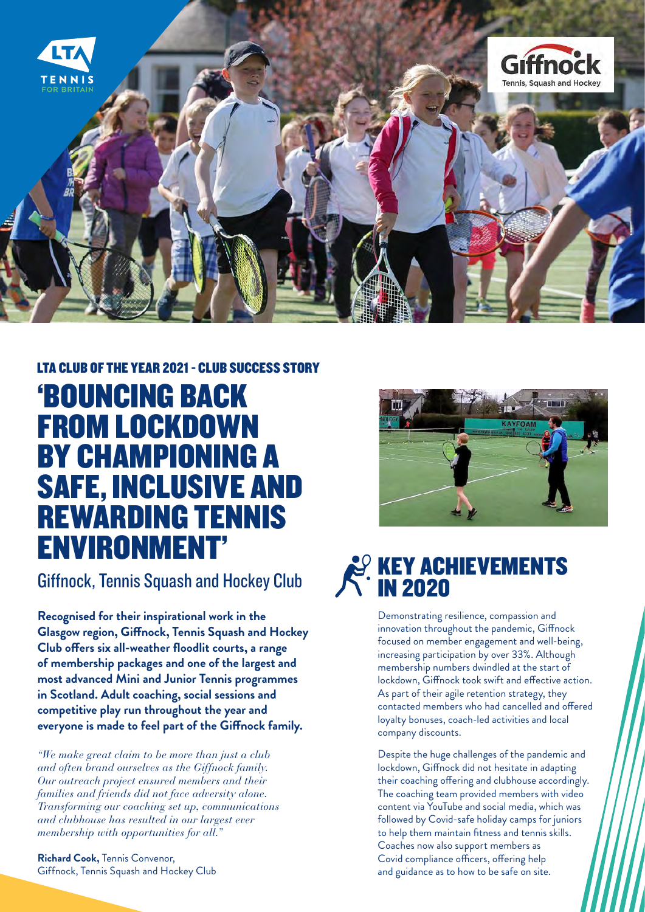

# LTA CLUB OF THE YEAR 2021 - CLUB SUCCESS STORY 'BOUNCING BACK FROM LOCKDOWN BY CHAMPIONING A SAFE, INCLUSIVE AND REWARDING TENNIS ENVIRONMENT'

**Recognised for their inspirational work in the Glasgow region, Giffnock, Tennis Squash and Hockey Club offers six all-weather floodlit courts, a range of membership packages and one of the largest and most advanced Mini and Junior Tennis programmes in Scotland. Adult coaching, social sessions and competitive play run throughout the year and everyone is made to feel part of the Giffnock family.** 

*"We make great claim to be more than just a club and often brand ourselves as the Giffnock family. Our outreach project ensured members and their families and friends did not face adversity alone. Transforming our coaching set up, communications and clubhouse has resulted in our largest ever membership with opportunities for all."*

**Richard Cook,** Tennis Convenor, Giffnock, Tennis Squash and Hockey Club





Demonstrating resilience, compassion and innovation throughout the pandemic, Giffnock focused on member engagement and well-being, increasing participation by over 33%. Although membership numbers dwindled at the start of lockdown, Giffnock took swift and effective action. As part of their agile retention strategy, they contacted members who had cancelled and offered loyalty bonuses, coach-led activities and local company discounts.

Despite the huge challenges of the pandemic and lockdown, Giffnock did not hesitate in adapting their coaching offering and clubhouse accordingly. The coaching team provided members with video content via YouTube and social media, which was followed by Covid-safe holiday camps for juniors to help them maintain fitness and tennis skills. Coaches now also support members as Covid compliance officers, offering help and guidance as to how to be safe on site.